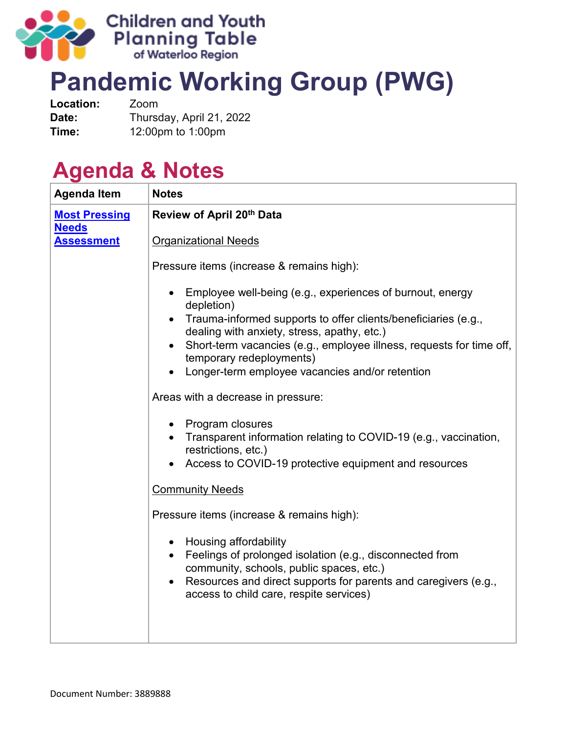

## **Pandemic Working Group (PWG)**

| Location: | Zoom                     |
|-----------|--------------------------|
| Date:     | Thursday, April 21, 2022 |
| Time:     | 12:00pm to 1:00pm        |

## **Agenda & Notes**

| <b>Agenda Item</b>                   | <b>Notes</b>                                                                                                                                                                                                                                                 |
|--------------------------------------|--------------------------------------------------------------------------------------------------------------------------------------------------------------------------------------------------------------------------------------------------------------|
| <b>Most Pressing</b><br><b>Needs</b> | Review of April 20th Data                                                                                                                                                                                                                                    |
| <b>Assessment</b>                    | <b>Organizational Needs</b>                                                                                                                                                                                                                                  |
|                                      | Pressure items (increase & remains high):                                                                                                                                                                                                                    |
|                                      | Employee well-being (e.g., experiences of burnout, energy<br>depletion)<br>• Trauma-informed supports to offer clients/beneficiaries (e.g.,                                                                                                                  |
|                                      | dealing with anxiety, stress, apathy, etc.)                                                                                                                                                                                                                  |
|                                      | Short-term vacancies (e.g., employee illness, requests for time off,<br>$\bullet$<br>temporary redeployments)                                                                                                                                                |
|                                      | Longer-term employee vacancies and/or retention                                                                                                                                                                                                              |
|                                      | Areas with a decrease in pressure:                                                                                                                                                                                                                           |
|                                      | • Program closures<br>• Transparent information relating to COVID-19 (e.g., vaccination,                                                                                                                                                                     |
|                                      | Access to COVID-19 protective equipment and resources                                                                                                                                                                                                        |
|                                      | <b>Community Needs</b>                                                                                                                                                                                                                                       |
|                                      | Pressure items (increase & remains high):                                                                                                                                                                                                                    |
|                                      | • Housing affordability<br>• Feelings of prolonged isolation (e.g., disconnected from<br>community, schools, public spaces, etc.)<br>Resources and direct supports for parents and caregivers (e.g.,<br>$\bullet$<br>access to child care, respite services) |
|                                      | restrictions, etc.)                                                                                                                                                                                                                                          |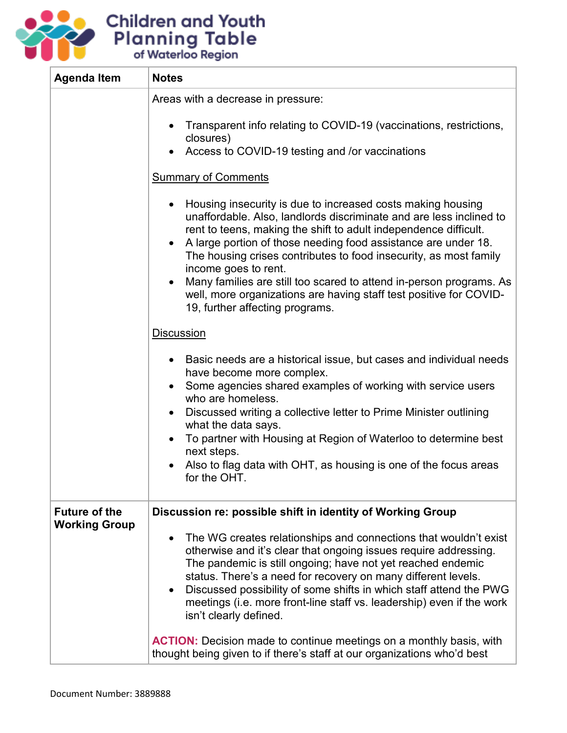

| <b>Agenda Item</b>   | <b>Notes</b>                                                                                                                                                                                                                                                                                                                                                                                                                                                            |
|----------------------|-------------------------------------------------------------------------------------------------------------------------------------------------------------------------------------------------------------------------------------------------------------------------------------------------------------------------------------------------------------------------------------------------------------------------------------------------------------------------|
|                      | Areas with a decrease in pressure:                                                                                                                                                                                                                                                                                                                                                                                                                                      |
|                      | Transparent info relating to COVID-19 (vaccinations, restrictions,<br>closures)<br>Access to COVID-19 testing and /or vaccinations                                                                                                                                                                                                                                                                                                                                      |
|                      | <b>Summary of Comments</b>                                                                                                                                                                                                                                                                                                                                                                                                                                              |
|                      |                                                                                                                                                                                                                                                                                                                                                                                                                                                                         |
|                      | Housing insecurity is due to increased costs making housing<br>$\bullet$<br>unaffordable. Also, landlords discriminate and are less inclined to<br>rent to teens, making the shift to adult independence difficult.<br>A large portion of those needing food assistance are under 18.<br>$\bullet$<br>The housing crises contributes to food insecurity, as most family<br>income goes to rent.                                                                         |
|                      | Many families are still too scared to attend in-person programs. As<br>$\bullet$<br>well, more organizations are having staff test positive for COVID-<br>19, further affecting programs.                                                                                                                                                                                                                                                                               |
|                      | <b>Discussion</b>                                                                                                                                                                                                                                                                                                                                                                                                                                                       |
|                      | Basic needs are a historical issue, but cases and individual needs<br>٠<br>have become more complex.                                                                                                                                                                                                                                                                                                                                                                    |
|                      | Some agencies shared examples of working with service users<br>who are homeless.                                                                                                                                                                                                                                                                                                                                                                                        |
|                      | Discussed writing a collective letter to Prime Minister outlining<br>$\bullet$<br>what the data says.                                                                                                                                                                                                                                                                                                                                                                   |
|                      | To partner with Housing at Region of Waterloo to determine best<br>$\bullet$<br>next steps.                                                                                                                                                                                                                                                                                                                                                                             |
|                      | Also to flag data with OHT, as housing is one of the focus areas<br>$\bullet$<br>for the OHT.                                                                                                                                                                                                                                                                                                                                                                           |
| <b>Future of the</b> | Discussion re: possible shift in identity of Working Group                                                                                                                                                                                                                                                                                                                                                                                                              |
| <b>Working Group</b> | The WG creates relationships and connections that wouldn't exist<br>$\bullet$<br>otherwise and it's clear that ongoing issues require addressing.<br>The pandemic is still ongoing; have not yet reached endemic<br>status. There's a need for recovery on many different levels.<br>Discussed possibility of some shifts in which staff attend the PWG<br>$\bullet$<br>meetings (i.e. more front-line staff vs. leadership) even if the work<br>isn't clearly defined. |
|                      | <b>ACTION:</b> Decision made to continue meetings on a monthly basis, with<br>thought being given to if there's staff at our organizations who'd best                                                                                                                                                                                                                                                                                                                   |